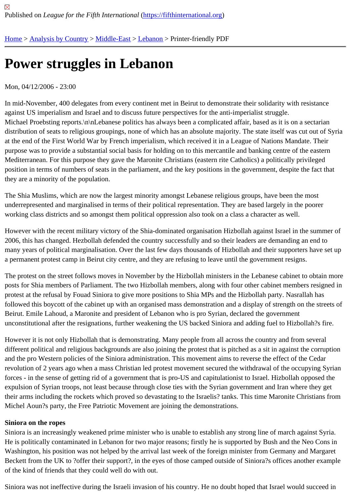## [Po](https://fifthinternational.org/)[wer strugg](https://fifthinternational.org/category/1)l[es in L](https://fifthinternational.org/category/1/178)[eban](https://fifthinternational.org/category/1/178/187)on

## Mon, 04/12/2006 - 23:00

In mid-November, 400 delegates from every continent met in Beirut to demonstrate their solidarity with resistance against US imperialism and Israel and to discuss future perspectives for the anti-imperialist struggle. Michael Proebsting reports.\n\nLebanese politics has always been a complicated affair, based as it is on a sectaria distribution of seats to religious groupings, none of which has an absolute majority. The state itself was cut out of S at the end of the First World War by French imperialism, which received it in a League of Nations Mandate. Their purpose was to provide a substantial social basis for holding on to this mercantile and banking centre of the easter Mediterranean. For this purpose they gave the Maronite Christians (eastern rite Catholics) a politically privileged position in terms of numbers of seats in the parliament, and the key positions in the government, despite the fact that they are a minority of the population.

The Shia Muslims, which are now the largest minority amongst Lebanese religious groups, have been the most underrepresented and marginalised in terms of their political representation. They are based largely in the poorer working class districts and so amongst them political oppression also took on a class a character as well.

However with the recent military victory of the Shia-dominated organisation Hizbollah against Israel in the summer 2006, this has changed. Hezbollah defended the country successfully and so their leaders are demanding an end many years of political marginalisation. Over the last few days thousands of Hizbollah and their supporters have se a permanent protest camp in Beirut city centre, and they are refusing to leave until the government resigns.

The protest on the street follows moves in November by the Hizbollah ministers in the Lebanese cabinet to obtain posts for Shia members of Parliament. The two Hizbollah members, along with four other cabinet members resign protest at the refusal by Fouad Siniora to give more positions to Shia MPs and the Hizbollah party. Nasrallah has followed this boycott of the cabinet up with an organised mass demonstration and a display of strength on the stre Beirut. Emile Lahoud, a Maronite and president of Lebanon who is pro Syrian, declared the government unconstitutional after the resignations, further weakening the US backed Siniora and adding fuel to Hizbollah?s fire.

However it is not only Hizbollah that is demonstrating. Many people from all across the country and from several different political and religious backgrounds are also joining the protest that is pitched as a sit in against the corrup and the pro Western policies of the Siniora administration. This movement aims to reverse the effect of the Cedar revolution of 2 years ago when a mass Christian led protest movement secured the withdrawal of the occupying S forces - in the sense of getting rid of a government that is pro-US and capitulationist to Israel. Hizbollah opposed tl expulsion of Syrian troops, not least because through close ties with the Syrian government and Iran where they g their arms including the rockets which proved so devastating to the Israelis? tanks. This time Maronite Christians f Michel Aoun?s party, the Free Patriotic Movement are joining the demonstrations.

## Siniora on the ropes

Siniora is an increasingly weakened prime minister who is unable to establish any strong line of march against Syr He is politically contaminated in Lebanon for two major reasons; firstly he is supported by Bush and the Neo Cons in Washington, his position was not helped by the arrival last week of the foreign minister from Germany and Margar Beckett from the UK to ?offer their support?, in the eyes of those camped outside of Siniora?s offices another exam of the kind of friends that they could well do with out.

Siniora was not ineffective during the Israeli invasion of his country. He no doubt hoped that Israel would succeed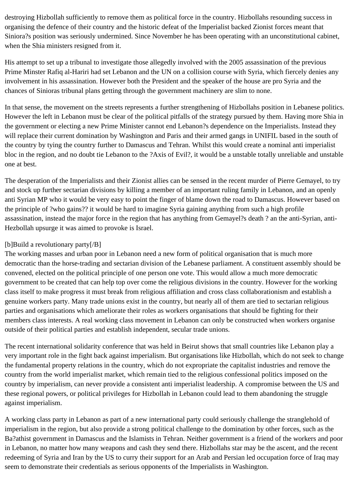destroying Hizbollah sufficiently to remove them as political force in the country. Hizbollahs resounding success in organising the defence of their country and the historic defeat of the Imperialist backed Zionist forces meant that Siniora?s position was seriously undermined. Since November he has been operating with an unconstitutional cabinet, when the Shia ministers resigned from it.

His attempt to set up a tribunal to investigate those allegedly involved with the 2005 assassination of the previous Prime Minster Rafiq al-Hariri had set Lebanon and the UN on a collision course with Syria, which fiercely denies any involvement in his assassination. However both the President and the speaker of the house are pro Syria and the chances of Sinioras tribunal plans getting through the government machinery are slim to none.

In that sense, the movement on the streets represents a further strengthening of Hizbollahs position in Lebanese politics. However the left in Lebanon must be clear of the political pitfalls of the strategy pursued by them. Having more Shia in the government or electing a new Prime Minister cannot end Lebanon?s dependence on the Imperialists. Instead they will replace their current domination by Washington and Paris and their armed gangs in UNIFIL based in the south of the country by tying the country further to Damascus and Tehran. Whilst this would create a nominal anti imperialist bloc in the region, and no doubt tie Lebanon to the ?Axis of Evil?, it would be a unstable totally unreliable and unstable one at best.

The desperation of the Imperialists and their Zionist allies can be sensed in the recent murder of Pierre Gemayel, to try and stock up further sectarian divisions by killing a member of an important ruling family in Lebanon, and an openly anti Syrian MP who it would be very easy to point the finger of blame down the road to Damascus. However based on the principle of ?who gains?? it would be hard to imagine Syria gaining anything from such a high profile assassination, instead the major force in the region that has anything from Gemayel?s death ? an the anti-Syrian, anti-Hezbollah upsurge it was aimed to provoke is Israel.

## [b]Build a revolutionary party[/B]

The working masses and urban poor in Lebanon need a new form of political organisation that is much more democratic than the horse-trading and sectarian division of the Lebanese parliament. A constituent assembly should be convened, elected on the political principle of one person one vote. This would allow a much more democratic government to be created that can help top over come the religious divisions in the country. However for the working class itself to make progress it must break from religious affiliation and cross class collaborationism and establish a genuine workers party. Many trade unions exist in the country, but nearly all of them are tied to sectarian religious parties and organisations which ameliorate their roles as workers organisations that should be fighting for their members class interests. A real working class movement in Lebanon can only be constructed when workers organise outside of their political parties and establish independent, secular trade unions.

The recent international solidarity conference that was held in Beirut shows that small countries like Lebanon play a very important role in the fight back against imperialism. But organisations like Hizbollah, which do not seek to change the fundamental property relations in the country, which do not expropriate the capitalist industries and remove the country from the world imperialist market, which remain tied to the religious confessional politics imposed on the country by imperialism, can never provide a consistent anti imperialist leadership. A compromise between the US and these regional powers, or political privileges for Hizbollah in Lebanon could lead to them abandoning the struggle against imperialism.

A working class party in Lebanon as part of a new international party could seriously challenge the stranglehold of imperialism in the region, but also provide a strong political challenge to the domination by other forces, such as the Ba?athist government in Damascus and the Islamists in Tehran. Neither government is a friend of the workers and poor in Lebanon, no matter how many weapons and cash they send there. Hizbollahs star may be the ascent, and the recent redeeming of Syria and Iran by the US to curry their support for an Arab and Persian led occupation force of Iraq may seem to demonstrate their credentials as serious opponents of the Imperialists in Washington.